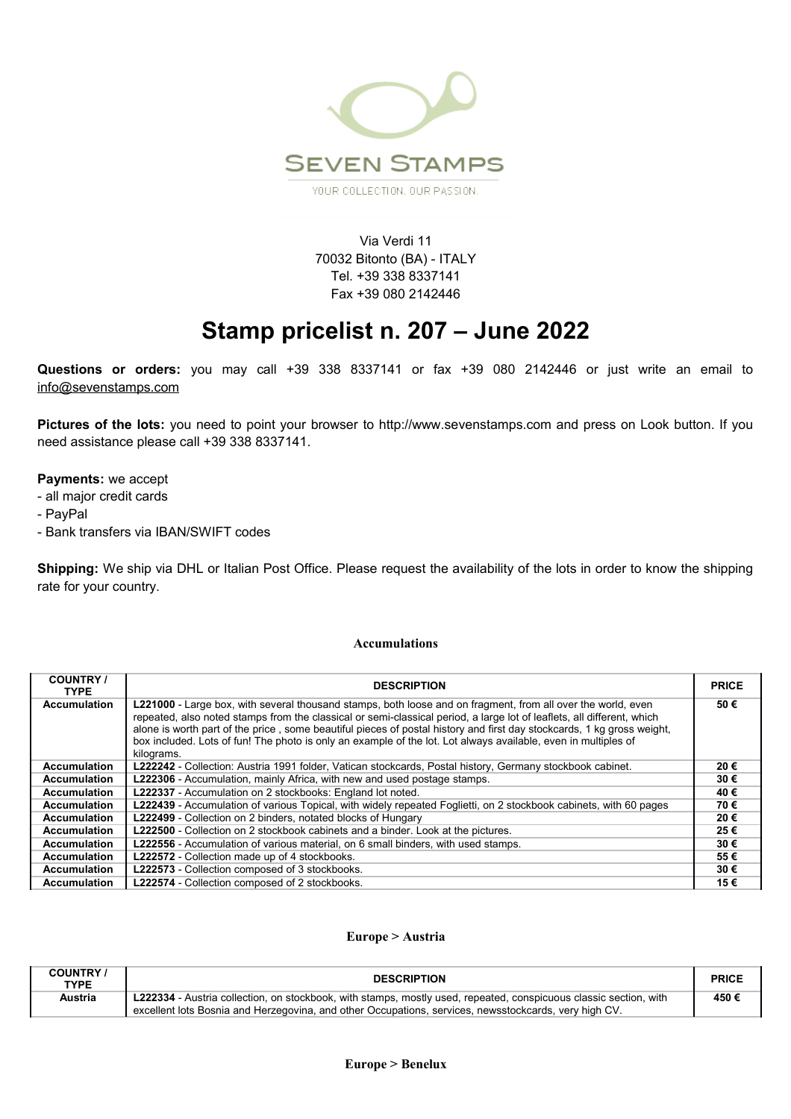

Via Verdi 11 70032 Bitonto (BA) - ITALY Tel. +39 338 8337141 Fax +39 080 2142446

# **Stamp pricelist n. 207 – June 2022**

**Questions or orders:** you may call +39 338 8337141 or fax +39 080 2142446 or just write an email to info@sevenstamps.com

**Pictures of the lots:** you need to point your browser to http://www.sevenstamps.com and press on Look button. If you need assistance please call +39 338 8337141.

#### **Payments:** we accept

- all major credit cards
- PayPal
- Bank transfers via IBAN/SWIFT codes

**Shipping:** We ship via DHL or Italian Post Office. Please request the availability of the lots in order to know the shipping rate for your country.

#### **Accumulations**

| <b>COUNTRY /</b><br><b>TYPE</b> | <b>DESCRIPTION</b>                                                                                                                                                                                                                                                                                                                                                                                                                                                                                      | <b>PRICE</b> |
|---------------------------------|---------------------------------------------------------------------------------------------------------------------------------------------------------------------------------------------------------------------------------------------------------------------------------------------------------------------------------------------------------------------------------------------------------------------------------------------------------------------------------------------------------|--------------|
| <b>Accumulation</b>             | <b>L221000</b> - Large box, with several thousand stamps, both loose and on fragment, from all over the world, even<br>repeated, also noted stamps from the classical or semi-classical period, a large lot of leaflets, all different, which<br>alone is worth part of the price, some beautiful pieces of postal history and first day stockcards, 1 kg gross weight,<br>box included. Lots of fun! The photo is only an example of the lot. Lot always available, even in multiples of<br>kilograms. | 50€          |
| <b>Accumulation</b>             | L222242 - Collection: Austria 1991 folder, Vatican stockcards, Postal history, Germany stockbook cabinet.                                                                                                                                                                                                                                                                                                                                                                                               | 20€          |
| <b>Accumulation</b>             | <b>L222306</b> - Accumulation, mainly Africa, with new and used postage stamps.                                                                                                                                                                                                                                                                                                                                                                                                                         | 30€          |
| <b>Accumulation</b>             | L222337 - Accumulation on 2 stockbooks: England lot noted.                                                                                                                                                                                                                                                                                                                                                                                                                                              | 40€          |
| <b>Accumulation</b>             | L222439 - Accumulation of various Topical, with widely repeated Foglietti, on 2 stockbook cabinets, with 60 pages                                                                                                                                                                                                                                                                                                                                                                                       | 70€          |
| <b>Accumulation</b>             | <b>L222499</b> - Collection on 2 binders, notated blocks of Hungary                                                                                                                                                                                                                                                                                                                                                                                                                                     | 20€          |
| <b>Accumulation</b>             | L222500 - Collection on 2 stockbook cabinets and a binder. Look at the pictures.                                                                                                                                                                                                                                                                                                                                                                                                                        | 25€          |
| <b>Accumulation</b>             | <b>L222556</b> - Accumulation of various material, on 6 small binders, with used stamps.                                                                                                                                                                                                                                                                                                                                                                                                                | 30€          |
| <b>Accumulation</b>             | L222572 - Collection made up of 4 stockbooks.                                                                                                                                                                                                                                                                                                                                                                                                                                                           | 55€          |
| <b>Accumulation</b>             | L222573 - Collection composed of 3 stockbooks.                                                                                                                                                                                                                                                                                                                                                                                                                                                          | 30€          |
| <b>Accumulation</b>             | L222574 - Collection composed of 2 stockbooks.                                                                                                                                                                                                                                                                                                                                                                                                                                                          | 15€          |

#### **Europe > Austria**

| <b>COUNTRY</b> /<br><b>TYPE</b> | <b>DESCRIPTION</b>                                                                                                                                                                                                         | <b>PRICE</b> |
|---------------------------------|----------------------------------------------------------------------------------------------------------------------------------------------------------------------------------------------------------------------------|--------------|
| Austria                         | L222334 - Austria collection, on stockbook, with stamps, mostly used, repeated, conspicuous classic section, with<br>excellent lots Bosnia and Herzegovina, and other Occupations, services, newsstockcards, very high CV. | 450€         |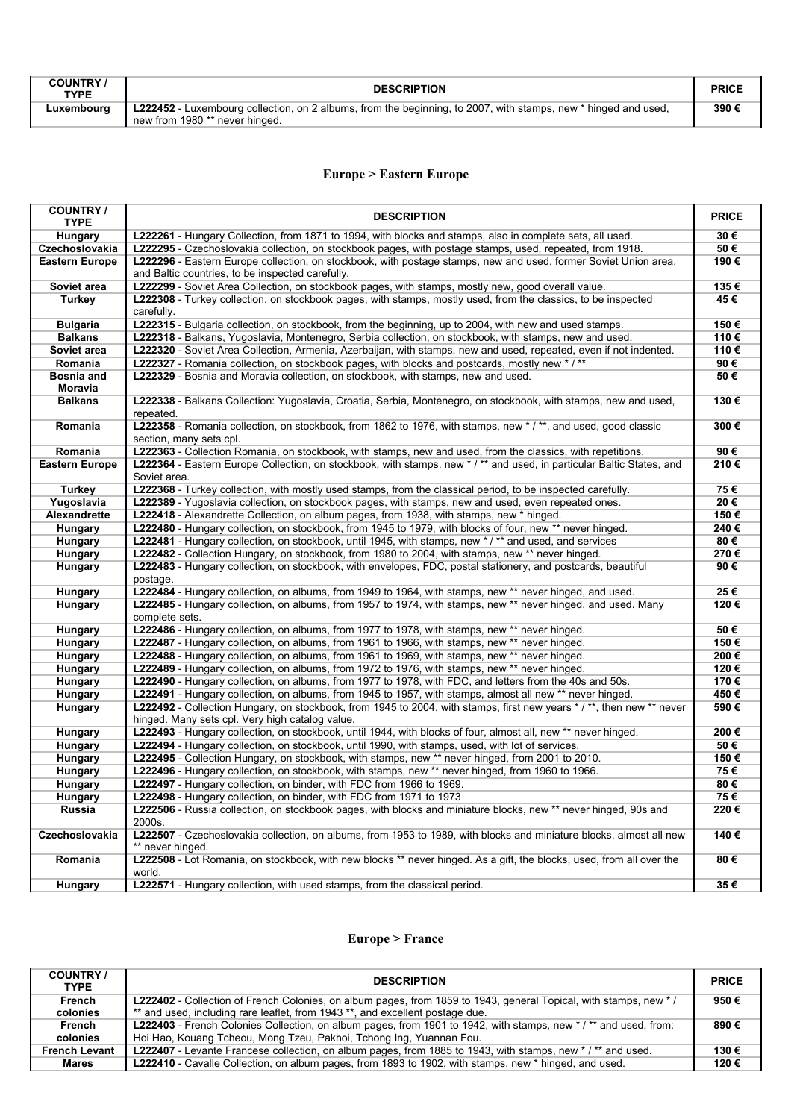| <b>COUNTRY</b><br><b>TYPE</b> | <b>DESCRIPTION</b>                                                                                                                               | <b>PRICL</b> |
|-------------------------------|--------------------------------------------------------------------------------------------------------------------------------------------------|--------------|
| Luxembourg                    | L222452 - Luxembourg collection, on 2 albums, from the beginning, to 2007, with stamps, new * hinged and used,<br>new from 1980 ** never hinged. | 390€         |

# **Europe > Eastern Europe**

| <b>COUNTRY/</b><br><b>TYPE</b>      | <b>DESCRIPTION</b>                                                                                                                                                     | <b>PRICE</b> |
|-------------------------------------|------------------------------------------------------------------------------------------------------------------------------------------------------------------------|--------------|
| Hungary                             | L222261 - Hungary Collection, from 1871 to 1994, with blocks and stamps, also in complete sets, all used.                                                              | 30€          |
| Czechoslovakia                      | L222295 - Czechoslovakia collection, on stockbook pages, with postage stamps, used, repeated, from 1918.                                                               | 50€          |
| <b>Eastern Europe</b>               | L222296 - Eastern Europe collection, on stockbook, with postage stamps, new and used, former Soviet Union area,<br>and Baltic countries, to be inspected carefully.    | 190€         |
| Soviet area                         | L222299 - Soviet Area Collection, on stockbook pages, with stamps, mostly new, good overall value.                                                                     | 135€         |
| <b>Turkey</b>                       | <b>L222308</b> - Turkey collection, on stockbook pages, with stamps, mostly used, from the classics, to be inspected<br>carefully.                                     | 45 €         |
| <b>Bulgaria</b>                     | L222315 - Bulgaria collection, on stockbook, from the beginning, up to 2004, with new and used stamps.                                                                 | 150€         |
| <b>Balkans</b>                      | L222318 - Balkans, Yugoslavia, Montenegro, Serbia collection, on stockbook, with stamps, new and used.                                                                 | 110€         |
| Soviet area                         | L222320 - Soviet Area Collection, Armenia, Azerbaijan, with stamps, new and used, repeated, even if not indented.                                                      | 110€         |
| Romania                             | L222327 - Romania collection, on stockbook pages, with blocks and postcards, mostly new */**                                                                           | 90€          |
| <b>Bosnia and</b><br><b>Moravia</b> | L222329 - Bosnia and Moravia collection, on stockbook, with stamps, new and used.                                                                                      | 50€          |
| <b>Balkans</b>                      | L222338 - Balkans Collection: Yugoslavia, Croatia, Serbia, Montenegro, on stockbook, with stamps, new and used,<br>repeated.                                           | 130€         |
| Romania                             | L222358 - Romania collection, on stockbook, from 1862 to 1976, with stamps, new */**, and used, good classic<br>section, many sets cpl.                                | 300€         |
| Romania                             | L222363 - Collection Romania, on stockbook, with stamps, new and used, from the classics, with repetitions.                                                            | 90€          |
| <b>Eastern Europe</b>               | L222364 - Eastern Europe Collection, on stockbook, with stamps, new */** and used, in particular Baltic States, and<br>Soviet area.                                    | 210€         |
| Turkey                              | L222368 - Turkey collection, with mostly used stamps, from the classical period, to be inspected carefully.                                                            | 75€          |
| Yugoslavia                          | L222389 - Yugoslavia collection, on stockbook pages, with stamps, new and used, even repeated ones.                                                                    | 20€          |
| Alexandrette                        | L222418 - Alexandrette Collection, on album pages, from 1938, with stamps, new * hinged.                                                                               | 150€         |
| Hungary                             | L222480 - Hungary collection, on stockbook, from 1945 to 1979, with blocks of four, new ** never hinged.                                                               | 240€         |
| Hungary                             | L222481 - Hungary collection, on stockbook, until 1945, with stamps, new * / ** and used, and services                                                                 | 80€          |
| Hungary                             | L222482 - Collection Hungary, on stockbook, from 1980 to 2004, with stamps, new ** never hinged.                                                                       | 270€         |
| Hungary                             | L222483 - Hungary collection, on stockbook, with envelopes, FDC, postal stationery, and postcards, beautiful<br>postage.                                               | 90€          |
| Hungary                             | L222484 - Hungary collection, on albums, from 1949 to 1964, with stamps, new ** never hinged, and used.                                                                | 25€          |
| Hungary                             | L222485 - Hungary collection, on albums, from 1957 to 1974, with stamps, new ** never hinged, and used. Many<br>complete sets.                                         | 120€         |
| Hungary                             | L222486 - Hungary collection, on albums, from 1977 to 1978, with stamps, new ** never hinged.                                                                          | 50€          |
| Hungary                             | L222487 - Hungary collection, on albums, from 1961 to 1966, with stamps, new ** never hinged.                                                                          | 150€         |
| Hungary                             | L222488 - Hungary collection, on albums, from 1961 to 1969, with stamps, new ** never hinged.                                                                          | 200€         |
| Hungary                             | <b>L222489</b> - Hungary collection, on albums, from 1972 to 1976, with stamps, new ** never hinged.                                                                   | 120€         |
| Hungary                             | L222490 - Hungary collection, on albums, from 1977 to 1978, with FDC, and letters from the 40s and 50s.                                                                | 170€         |
| Hungary                             | L222491 - Hungary collection, on albums, from 1945 to 1957, with stamps, almost all new ** never hinged.                                                               | 450€         |
| Hungary                             | L222492 - Collection Hungary, on stockbook, from 1945 to 2004, with stamps, first new years */**, then new ** never<br>hinged. Many sets cpl. Very high catalog value. | 590€         |
| Hungary                             | L222493 - Hungary collection, on stockbook, until 1944, with blocks of four, almost all, new ** never hinged.                                                          | 200€         |
| Hungary                             | L222494 - Hungary collection, on stockbook, until 1990, with stamps, used, with lot of services.                                                                       | 50€          |
| Hungary                             | L222495 - Collection Hungary, on stockbook, with stamps, new ** never hinged, from 2001 to 2010.                                                                       | 150€         |
| Hungary                             | L222496 - Hungary collection, on stockbook, with stamps, new ** never hinged, from 1960 to 1966.                                                                       | 75€          |
| Hungary                             | <b>L222497</b> - Hungary collection, on binder, with FDC from 1966 to 1969.                                                                                            | 80€          |
| Hungary                             | L222498 - Hungary collection, on binder, with FDC from 1971 to 1973                                                                                                    | 75€          |
| Russia                              | L222506 - Russia collection, on stockbook pages, with blocks and miniature blocks, new ** never hinged, 90s and<br>2000s.                                              | 220€         |
| Czechoslovakia                      | L222507 - Czechoslovakia collection, on albums, from 1953 to 1989, with blocks and miniature blocks, almost all new<br>** never hinged.                                | 140€         |
| Romania                             | L222508 - Lot Romania, on stockbook, with new blocks ** never hinged. As a gift, the blocks, used, from all over the<br>world.                                         | 80€          |
| Hungary                             | <b>L222571</b> - Hungary collection, with used stamps, from the classical period.                                                                                      | 35€          |

### **Europe > France**

| <b>COUNTRY</b><br><b>TYPE</b> | <b>DESCRIPTION</b>                                                                                               | <b>PRICE</b> |
|-------------------------------|------------------------------------------------------------------------------------------------------------------|--------------|
| French                        | L222402 - Collection of French Colonies, on album pages, from 1859 to 1943, general Topical, with stamps, new */ | 950€         |
| colonies                      | ** and used, including rare leaflet, from 1943 **, and excellent postage due.                                    |              |
| <b>French</b>                 | L222403 - French Colonies Collection, on album pages, from 1901 to 1942, with stamps, new */** and used, from:   | 890€         |
| colonies                      | Hoi Hao, Kouang Tcheou, Mong Tzeu, Pakhoi, Tchong Ing, Yuannan Fou.                                              |              |
| <b>French Levant</b>          | L222407 - Levante Francese collection, on album pages, from 1885 to 1943, with stamps, new */** and used.        | 130€         |
| Mares                         | L222410 - Cavalle Collection, on album pages, from 1893 to 1902, with stamps, new * hinged, and used.            | 120€         |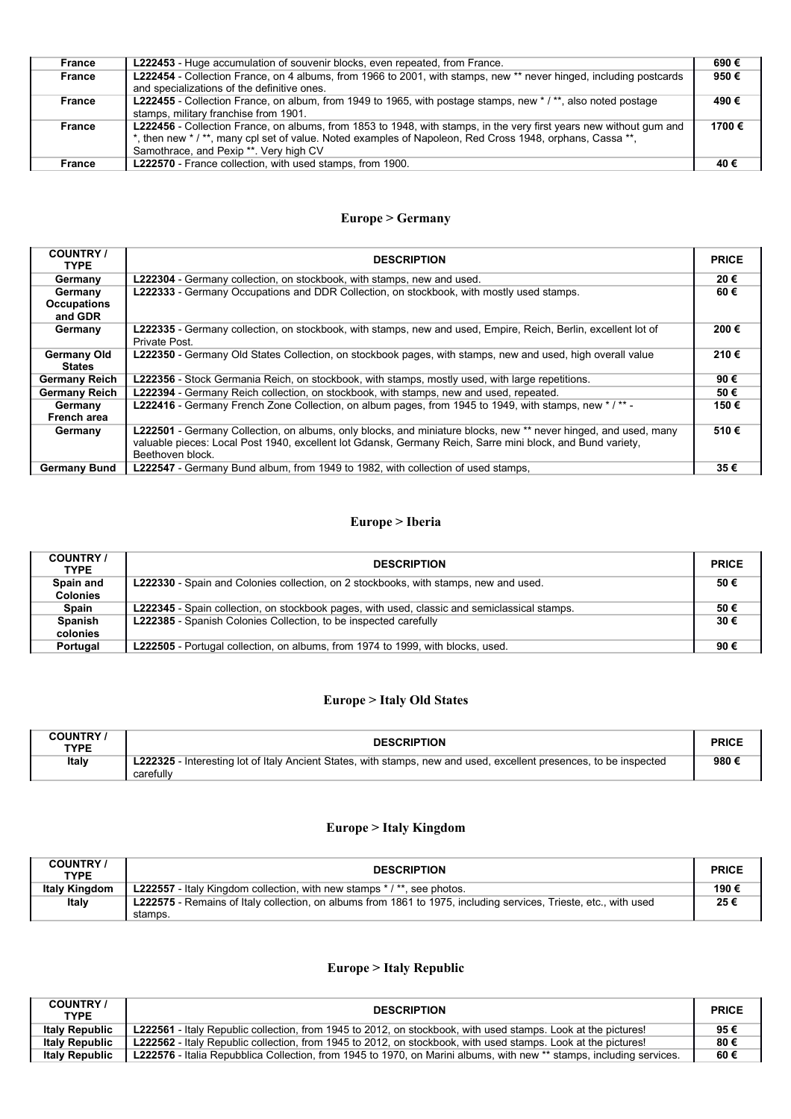| France | <b>L222453</b> - Huge accumulation of souvenir blocks, even repeated, from France.                                                                                                                                                                                                   | 690€  |
|--------|--------------------------------------------------------------------------------------------------------------------------------------------------------------------------------------------------------------------------------------------------------------------------------------|-------|
| France | L222454 - Collection France, on 4 albums, from 1966 to 2001, with stamps, new ** never hinged, including postcards<br>and specializations of the definitive ones.                                                                                                                    | 950€  |
| France | L222455 - Collection France, on album, from 1949 to 1965, with postage stamps, new */**, also noted postage<br>stamps, military franchise from 1901.                                                                                                                                 | 490€  |
| France | L222456 - Collection France, on albums, from 1853 to 1948, with stamps, in the very first years new without gum and<br>*, then new */**, many cpl set of value. Noted examples of Napoleon, Red Cross 1948, orphans, Cassa **,<br>Samothrace, and Pexip <sup>**</sup> . Very high CV | 1700€ |
| France | L222570 - France collection, with used stamps, from 1900.                                                                                                                                                                                                                            | 40€   |

# **Europe > Germany**

| <b>COUNTRY</b> /<br><b>TYPE</b>          | <b>DESCRIPTION</b>                                                                                                                                                                                                                                | <b>PRICE</b> |
|------------------------------------------|---------------------------------------------------------------------------------------------------------------------------------------------------------------------------------------------------------------------------------------------------|--------------|
| Germany                                  | L222304 - Germany collection, on stockbook, with stamps, new and used.                                                                                                                                                                            | 20€          |
| Germany<br><b>Occupations</b><br>and GDR | L222333 - Germany Occupations and DDR Collection, on stockbook, with mostly used stamps.                                                                                                                                                          | 60€          |
| Germany                                  | L222335 - Germany collection, on stockbook, with stamps, new and used, Empire, Reich, Berlin, excellent lot of<br>Private Post.                                                                                                                   | 200€         |
| <b>Germany Old</b><br>States             | L222350 - Germany Old States Collection, on stockbook pages, with stamps, new and used, high overall value                                                                                                                                        | 210€         |
| <b>Germany Reich</b>                     | <b>L222356</b> - Stock Germania Reich, on stockbook, with stamps, mostly used, with large repetitions.                                                                                                                                            | 90€          |
| <b>Germany Reich</b>                     | <b>L222394</b> - Germany Reich collection, on stockbook, with stamps, new and used, repeated.                                                                                                                                                     | 50€          |
| Germany<br>French area                   | L222416 - Germany French Zone Collection, on album pages, from 1945 to 1949, with stamps, new */** -                                                                                                                                              | 150€         |
| Germany                                  | L222501 - Germany Collection, on albums, only blocks, and miniature blocks, new ** never hinged, and used, many<br>valuable pieces: Local Post 1940, excellent lot Gdansk, Germany Reich, Sarre mini block, and Bund variety,<br>Beethoven block. | 510€         |
| <b>Germany Bund</b>                      | L222547 - Germany Bund album, from 1949 to 1982, with collection of used stamps,                                                                                                                                                                  | 35€          |

# **Europe > Iberia**

| <b>COUNTRY</b> /<br><b>TYPE</b> | <b>DESCRIPTION</b>                                                                           | <b>PRICE</b> |
|---------------------------------|----------------------------------------------------------------------------------------------|--------------|
| Spain and<br><b>Colonies</b>    | <b>L222330</b> - Spain and Colonies collection, on 2 stockbooks, with stamps, new and used.  | 50€          |
| <b>Spain</b>                    | L222345 - Spain collection, on stockbook pages, with used, classic and semiclassical stamps. | 50€          |
| Spanish<br>colonies             | L222385 - Spanish Colonies Collection, to be inspected carefully                             | 30€          |
| Portugal                        | <b>L222505</b> - Portugal collection, on albums, from 1974 to 1999, with blocks, used.       | 90€          |

# **Europe > Italy Old States**

| <b>COUNTRY</b><br><b>TYPE</b> | <b>DESCRIPTION</b>                                                                                                                     | <b>PRICE</b> |
|-------------------------------|----------------------------------------------------------------------------------------------------------------------------------------|--------------|
| Italy                         | <b>L222325</b> - Interesting lot of Italy Ancient States, with stamps, new and used, excellent presences, to be inspected<br>carefully | 980 €        |

# **Europe > Italy Kingdom**

| <b>COUNTRY</b><br><b>TYPE</b> | <b>DESCRIPTION</b>                                                                                               | <b>PRICE</b> |
|-------------------------------|------------------------------------------------------------------------------------------------------------------|--------------|
| <b>Italy Kingdom</b>          | <b>L222557</b> - Italy Kingdom collection, with new stamps $* / **$ , see photos.                                | 190 €        |
| Italy                         | L222575 - Remains of Italy collection, on albums from 1861 to 1975, including services, Trieste, etc., with used | 25€          |
|                               | stamps.                                                                                                          |              |

### **Europe > Italy Republic**

| <b>COUNTRY</b> /<br><b>TYPE</b> | <b>DESCRIPTION</b>                                                                                                   | <b>PRICE</b> |
|---------------------------------|----------------------------------------------------------------------------------------------------------------------|--------------|
| <b>Italy Republic</b>           | <b>L222561</b> - Italy Republic collection, from 1945 to 2012, on stockbook, with used stamps. Look at the pictures! | 95€          |
| <b>Italy Republic</b>           | <b>L222562</b> - Italy Republic collection, from 1945 to 2012, on stockbook, with used stamps. Look at the pictures! | 80€          |
| <b>Italy Republic</b>           | L222576 - Italia Repubblica Collection, from 1945 to 1970, on Marini albums, with new ** stamps, including services. | 60 €         |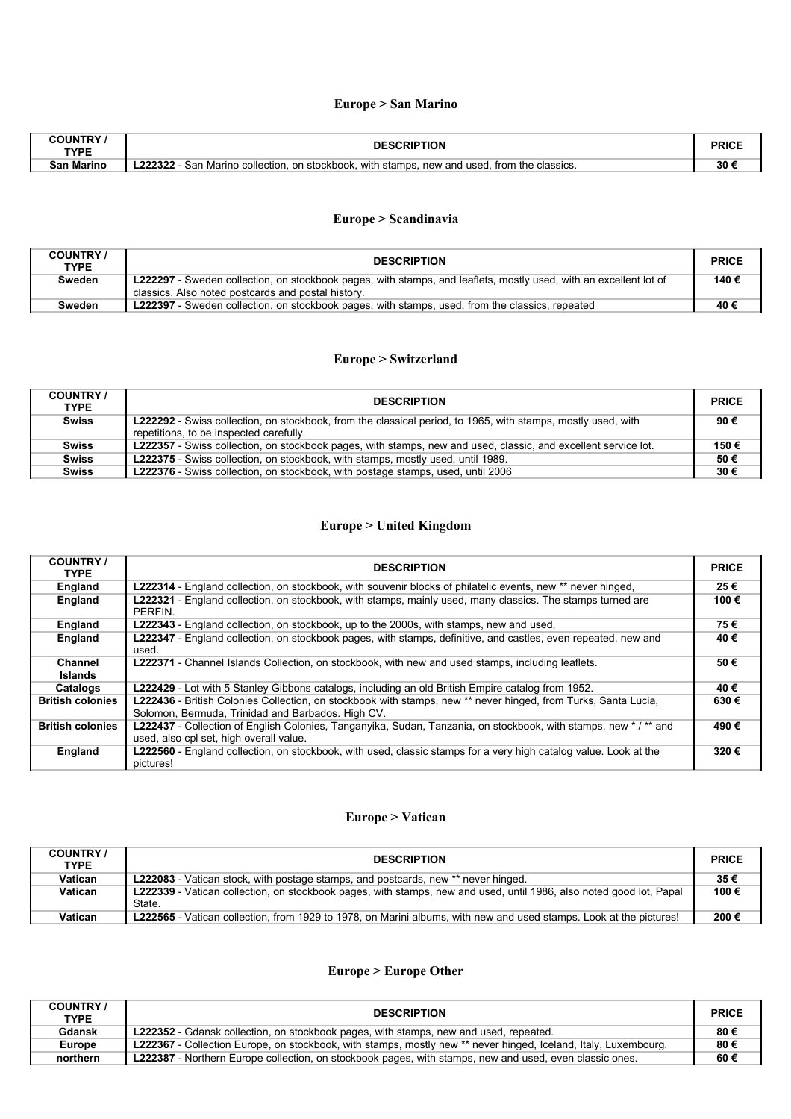### **Europe > San Marino**

| <b>TYPF</b>               | ΓΙΟΝ                                                                                                  |    |
|---------------------------|-------------------------------------------------------------------------------------------------------|----|
| <b><i><u>PART</u></i></b> | with stamps.<br>on stockbook.<br>. Marino<br>. new and used.<br>. collection<br>the classics.<br>from | 30 |

# **Europe > Scandinavia**

| <b>COUNTRY</b><br><b>TYPE</b> | <b>DESCRIPTION</b>                                                                                                                                                      | <b>PRICE</b> |
|-------------------------------|-------------------------------------------------------------------------------------------------------------------------------------------------------------------------|--------------|
| Sweden                        | L222297 - Sweden collection, on stockbook pages, with stamps, and leaflets, mostly used, with an excellent lot of<br>classics. Also noted postcards and postal history. | 140€         |
|                               |                                                                                                                                                                         |              |
| Sweden                        | <b>L222397</b> - Sweden collection, on stockbook pages, with stamps, used, from the classics, repeated                                                                  | 40 €         |

### **Europe > Switzerland**

| <b>COUNTRY</b><br><b>TYPE</b> | <b>DESCRIPTION</b>                                                                                                                                             | <b>PRICE</b> |
|-------------------------------|----------------------------------------------------------------------------------------------------------------------------------------------------------------|--------------|
| <b>Swiss</b>                  | <b>L222292</b> - Swiss collection, on stockbook, from the classical period, to 1965, with stamps, mostly used, with<br>repetitions, to be inspected carefully. | 90€          |
| <b>Swiss</b>                  | L222357 - Swiss collection, on stockbook pages, with stamps, new and used, classic, and excellent service lot.                                                 | 150€         |
| <b>Swiss</b>                  | L222375 - Swiss collection, on stockbook, with stamps, mostly used, until 1989.                                                                                | 50€          |
| <b>Swiss</b>                  | L222376 - Swiss collection, on stockbook, with postage stamps, used, until 2006                                                                                | 30€          |

# **Europe > United Kingdom**

| <b>COUNTRY</b><br><b>TYPE</b>    | <b>DESCRIPTION</b>                                                                                                                                                  | <b>PRICE</b> |
|----------------------------------|---------------------------------------------------------------------------------------------------------------------------------------------------------------------|--------------|
| England                          | <b>L222314</b> - England collection, on stockbook, with souvenir blocks of philatelic events, new ** never hinged,                                                  | 25€          |
| England                          | <b>L222321</b> - England collection, on stockbook, with stamps, mainly used, many classics. The stamps turned are<br>PERFIN.                                        | 100€         |
| England                          | <b>L222343</b> - England collection, on stockbook, up to the 2000s, with stamps, new and used,                                                                      | 75€          |
| England                          | L222347 - England collection, on stockbook pages, with stamps, definitive, and castles, even repeated, new and<br>used.                                             | 40€          |
| <b>Channel</b><br><b>Islands</b> | <b>L222371</b> - Channel Islands Collection, on stockbook, with new and used stamps, including leaflets.                                                            | 50€          |
| Catalogs                         | <b>L222429</b> - Lot with 5 Stanley Gibbons catalogs, including an old British Empire catalog from 1952.                                                            | 40€          |
| <b>British colonies</b>          | L222436 - British Colonies Collection, on stockbook with stamps, new ** never hinged, from Turks, Santa Lucia,<br>Solomon, Bermuda, Trinidad and Barbados. High CV. | 630€         |
| <b>British colonies</b>          | L222437 - Collection of English Colonies, Tanganyika, Sudan, Tanzania, on stockbook, with stamps, new */** and<br>used, also cpl set, high overall value.           | 490€         |
| England                          | L222560 - England collection, on stockbook, with used, classic stamps for a very high catalog value. Look at the<br>pictures!                                       | 320€         |

### **Europe > Vatican**

| <b>COUNTRY</b><br><b>TYPE</b> | <b>DESCRIPTION</b>                                                                                                            | <b>PRICE</b> |
|-------------------------------|-------------------------------------------------------------------------------------------------------------------------------|--------------|
| Vatican                       | <b>L222083</b> - Vatican stock, with postage stamps, and postcards, new ** never hinged.                                      | 35€          |
| Vatican                       | L222339 - Vatican collection, on stockbook pages, with stamps, new and used, until 1986, also noted good lot, Papal<br>State. | 100€         |
| Vatican                       | <b>L222565</b> - Vatican collection, from 1929 to 1978, on Marini albums, with new and used stamps. Look at the pictures!     | 200€         |

# **Europe > Europe Other**

| <b>COUNTRY</b><br><b>TYPE</b> | <b>DESCRIPTION</b>                                                                                                     | <b>PRICE</b> |
|-------------------------------|------------------------------------------------------------------------------------------------------------------------|--------------|
| <b>Gdansk</b>                 | <b>L222352</b> - Gdansk collection, on stockbook pages, with stamps, new and used, repeated.                           | 80€          |
| <b>Europe</b>                 | <b>L222367</b> - Collection Europe, on stockbook, with stamps, mostly new ** never hinged, Iceland, Italy, Luxembourg. | 80€          |
| northern                      | <b>L222387</b> - Northern Europe collection, on stockbook pages, with stamps, new and used, even classic ones.         | 60€          |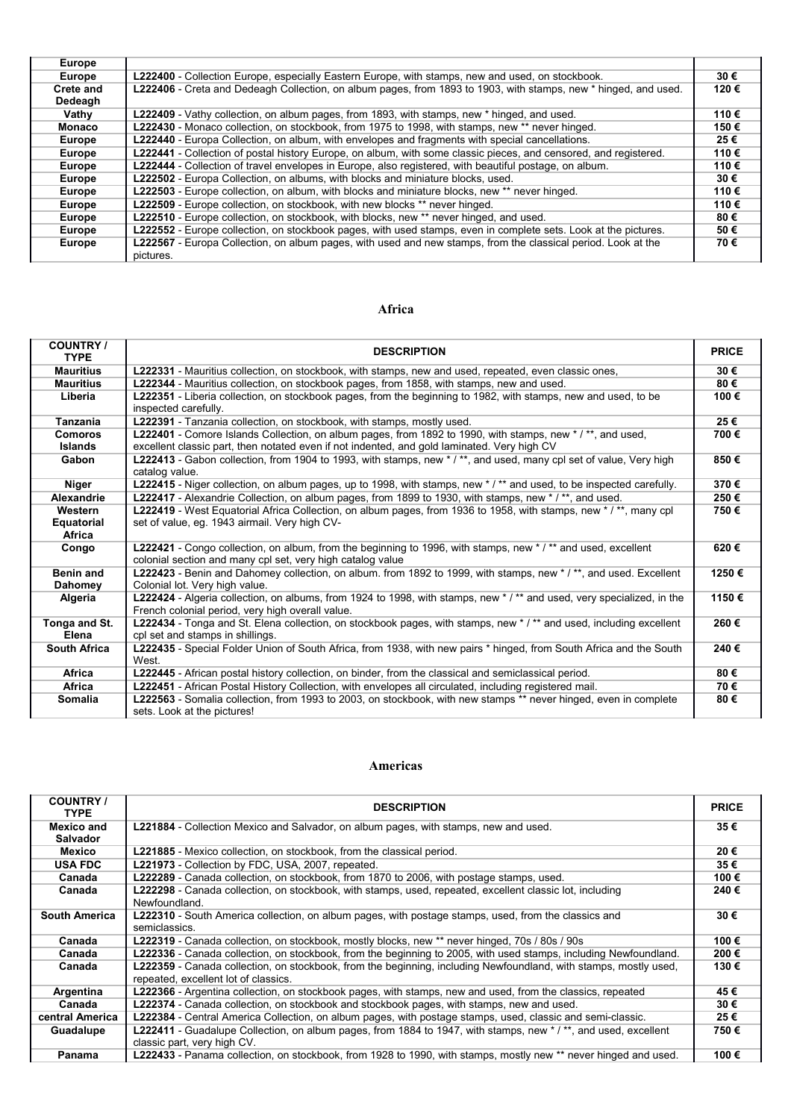| <b>Europe</b> |                                                                                                                  |      |
|---------------|------------------------------------------------------------------------------------------------------------------|------|
| <b>Europe</b> | L222400 - Collection Europe, especially Eastern Europe, with stamps, new and used, on stockbook.                 | 30€  |
| Crete and     | L222406 - Creta and Dedeagh Collection, on album pages, from 1893 to 1903, with stamps, new * hinged, and used.  | 120€ |
| Dedeagh       |                                                                                                                  |      |
| Vathy         | <b>L222409</b> - Vathy collection, on album pages, from 1893, with stamps, new * hinged, and used.               | 110€ |
| <b>Monaco</b> | L222430 - Monaco collection, on stockbook, from 1975 to 1998, with stamps, new ** never hinged.                  | 150€ |
| <b>Europe</b> | L222440 - Europa Collection, on album, with envelopes and fragments with special cancellations.                  | 25€  |
| <b>Europe</b> | L222441 - Collection of postal history Europe, on album, with some classic pieces, and censored, and registered. | 110€ |
| <b>Europe</b> | L222444 - Collection of travel envelopes in Europe, also registered, with beautiful postage, on album.           | 110€ |
| <b>Europe</b> | L222502 - Europa Collection, on albums, with blocks and miniature blocks, used.                                  | 30€  |
| <b>Europe</b> | L222503 - Europe collection, on album, with blocks and miniature blocks, new ** never hinged.                    | 110€ |
| <b>Europe</b> | <b>L222509</b> - Europe collection, on stockbook, with new blocks ** never hinged.                               | 110€ |
| <b>Europe</b> | L222510 - Europe collection, on stockbook, with blocks, new ** never hinged, and used.                           | 80€  |
| <b>Europe</b> | L222552 - Europe collection, on stockbook pages, with used stamps, even in complete sets. Look at the pictures.  | 50€  |
| <b>Europe</b> | L222567 - Europa Collection, on album pages, with used and new stamps, from the classical period. Look at the    | 70€  |
|               | pictures.                                                                                                        |      |

#### **Africa**

| <b>COUNTRY /</b><br><b>TYPE</b> | <b>DESCRIPTION</b>                                                                                                                                                       | <b>PRICE</b> |
|---------------------------------|--------------------------------------------------------------------------------------------------------------------------------------------------------------------------|--------------|
| <b>Mauritius</b>                | L222331 - Mauritius collection, on stockbook, with stamps, new and used, repeated, even classic ones,                                                                    | 30€          |
| <b>Mauritius</b>                | L222344 - Mauritius collection, on stockbook pages, from 1858, with stamps, new and used.                                                                                | 80€          |
| Liberia                         | L222351 - Liberia collection, on stockbook pages, from the beginning to 1982, with stamps, new and used, to be                                                           | 100€         |
|                                 | inspected carefully.                                                                                                                                                     |              |
| <b>Tanzania</b>                 | L222391 - Tanzania collection, on stockbook, with stamps, mostly used.                                                                                                   | 25€          |
| <b>Comoros</b>                  | L222401 - Comore Islands Collection, on album pages, from 1892 to 1990, with stamps, new */**, and used,                                                                 | 700€         |
| <b>Islands</b>                  | excellent classic part, then notated even if not indented, and gold laminated. Very high CV                                                                              |              |
| Gabon                           | L222413 - Gabon collection, from 1904 to 1993, with stamps, new */**, and used, many cpl set of value, Very high                                                         | 850€         |
|                                 | catalog value.                                                                                                                                                           |              |
| Niger                           | L222415 - Niger collection, on album pages, up to 1998, with stamps, new */** and used, to be inspected carefully.                                                       | 370€         |
| <b>Alexandrie</b>               | L222417 - Alexandrie Collection, on album pages, from 1899 to 1930, with stamps, new */**, and used.                                                                     | 250€         |
| Western                         | L222419 - West Equatorial Africa Collection, on album pages, from 1936 to 1958, with stamps, new */**, many cpl                                                          | 750€         |
| Equatorial                      | set of value, eg. 1943 airmail. Very high CV-                                                                                                                            |              |
| Africa                          |                                                                                                                                                                          |              |
| Congo                           | L222421 - Congo collection, on album, from the beginning to 1996, with stamps, new * / ** and used, excellent                                                            | 620€         |
|                                 | colonial section and many cpl set, very high catalog value                                                                                                               |              |
| <b>Benin and</b>                | L222423 - Benin and Dahomey collection, on album. from 1892 to 1999, with stamps, new * / **, and used. Excellent                                                        | 1250€        |
| <b>Dahomey</b>                  | Colonial lot. Very high value.                                                                                                                                           |              |
| Algeria                         | L222424 - Algeria collection, on albums, from 1924 to 1998, with stamps, new */** and used, very specialized, in the<br>French colonial period, very high overall value. | 1150€        |
| Tonga and St.                   | L222434 - Tonga and St. Elena collection, on stockbook pages, with stamps, new */** and used, including excellent                                                        | 260€         |
| Elena                           | cpl set and stamps in shillings.                                                                                                                                         |              |
| <b>South Africa</b>             | L222435 - Special Folder Union of South Africa, from 1938, with new pairs * hinged, from South Africa and the South                                                      | 240€         |
|                                 | West.                                                                                                                                                                    |              |
| Africa                          | L222445 - African postal history collection, on binder, from the classical and semiclassical period.                                                                     | 80€          |
| <b>Africa</b>                   | L222451 - African Postal History Collection, with envelopes all circulated, including registered mail.                                                                   | 70€          |
| <b>Somalia</b>                  | L222563 - Somalia collection, from 1993 to 2003, on stockbook, with new stamps ** never hinged, even in complete                                                         | 80€          |
|                                 | sets. Look at the pictures!                                                                                                                                              |              |

#### **Americas**

| <b>COUNTRY</b> /<br><b>TYPE</b> | <b>DESCRIPTION</b>                                                                                                                                       | <b>PRICE</b> |
|---------------------------------|----------------------------------------------------------------------------------------------------------------------------------------------------------|--------------|
| <b>Mexico and</b><br>Salvador   | <b>L221884</b> - Collection Mexico and Salvador, on album pages, with stamps, new and used.                                                              | 35€          |
| Mexico                          | <b>L221885</b> - Mexico collection, on stockbook, from the classical period.                                                                             | 20€          |
| <b>USA FDC</b>                  | <b>L221973</b> - Collection by FDC, USA, 2007, repeated.                                                                                                 | 35€          |
| Canada                          | L222289 - Canada collection, on stockbook, from 1870 to 2006, with postage stamps, used.                                                                 | 100 €        |
| Canada                          | L222298 - Canada collection, on stockbook, with stamps, used, repeated, excellent classic lot, including<br>Newfoundland.                                | 240€         |
| <b>South America</b>            | <b>L222310</b> - South America collection, on album pages, with postage stamps, used, from the classics and<br>semiclassics.                             | 30€          |
| Canada                          | L222319 - Canada collection, on stockbook, mostly blocks, new ** never hinged, 70s / 80s / 90s                                                           | 100€         |
| Canada                          | L222336 - Canada collection, on stockbook, from the beginning to 2005, with used stamps, including Newfoundland.                                         | 200€         |
| Canada                          | L222359 - Canada collection, on stockbook, from the beginning, including Newfoundland, with stamps, mostly used,<br>repeated, excellent lot of classics. | 130 €        |
| Argentina                       | <b>L222366</b> - Argentina collection, on stockbook pages, with stamps, new and used, from the classics, repeated                                        | 45€          |
| Canada                          | <b>L222374</b> - Canada collection, on stockbook and stockbook pages, with stamps, new and used.                                                         | 30€          |
| central America                 | L222384 - Central America Collection, on album pages, with postage stamps, used, classic and semi-classic.                                               | 25€          |
| Guadalupe                       | L222411 - Guadalupe Collection, on album pages, from 1884 to 1947, with stamps, new */**, and used, excellent<br>classic part, very high CV.             | 750€         |
| Panama                          | L222433 - Panama collection, on stockbook, from 1928 to 1990, with stamps, mostly new ** never hinged and used.                                          | 100 €        |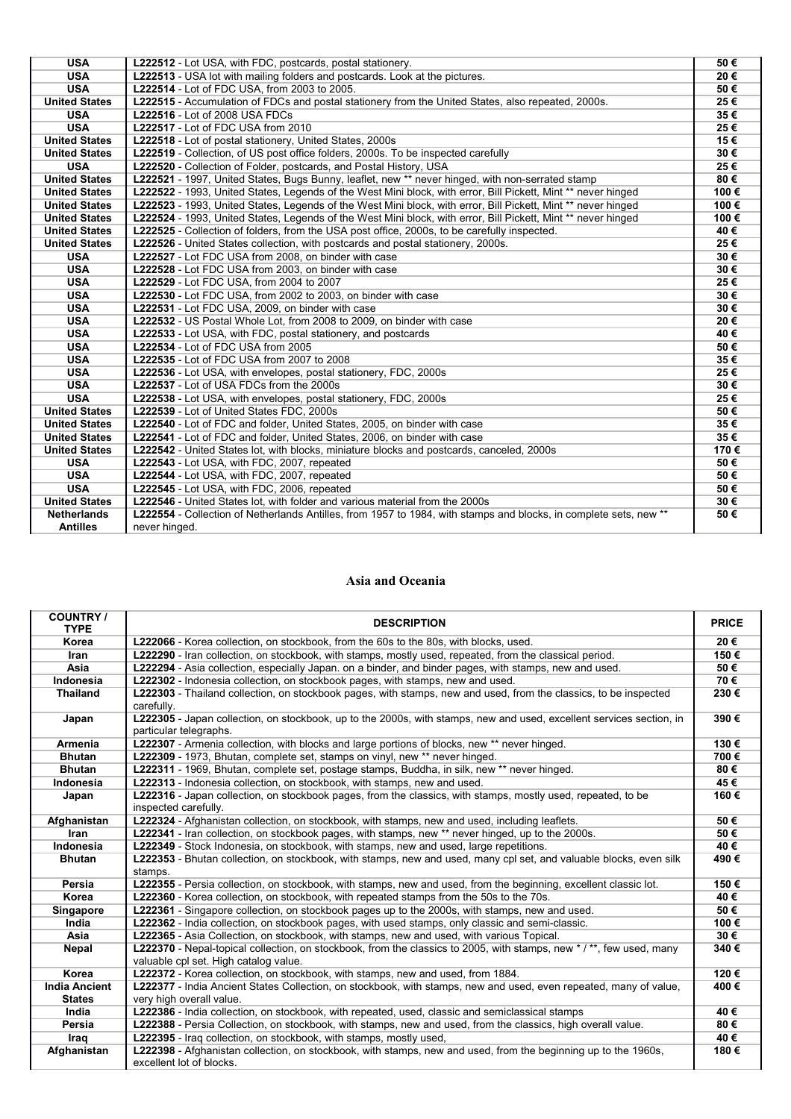| <b>USA</b>           | L222512 - Lot USA, with FDC, postcards, postal stationery.                                                        | 50€  |
|----------------------|-------------------------------------------------------------------------------------------------------------------|------|
| <b>USA</b>           | L222513 - USA lot with mailing folders and postcards. Look at the pictures.                                       | 20€  |
| <b>USA</b>           | L222514 - Lot of FDC USA, from 2003 to 2005.                                                                      | 50€  |
| <b>United States</b> | L222515 - Accumulation of FDCs and postal stationery from the United States, also repeated, 2000s.                | 25€  |
| <b>USA</b>           | L222516 - Lot of 2008 USA FDCs                                                                                    | 35€  |
| <b>USA</b>           | L222517 - Lot of FDC USA from 2010                                                                                | 25€  |
| <b>United States</b> | L222518 - Lot of postal stationery, United States, 2000s                                                          | 15€  |
| <b>United States</b> | L222519 - Collection, of US post office folders, 2000s. To be inspected carefully                                 | 30€  |
| <b>USA</b>           | L222520 - Collection of Folder, postcards, and Postal History, USA                                                | 25€  |
| <b>United States</b> | L222521 - 1997, United States, Bugs Bunny, leaflet, new ** never hinged, with non-serrated stamp                  | 80€  |
| <b>United States</b> | L222522 - 1993, United States, Legends of the West Mini block, with error, Bill Pickett, Mint ** never hinged     | 100€ |
| <b>United States</b> | L222523 - 1993, United States, Legends of the West Mini block, with error, Bill Pickett, Mint ** never hinged     | 100€ |
| <b>United States</b> | L222524 - 1993, United States, Legends of the West Mini block, with error, Bill Pickett, Mint ** never hinged     | 100€ |
| <b>United States</b> | L222525 - Collection of folders, from the USA post office, 2000s, to be carefully inspected.                      | 40€  |
| <b>United States</b> | L222526 - United States collection, with postcards and postal stationery, 2000s.                                  | 25€  |
| <b>USA</b>           | L222527 - Lot FDC USA from 2008, on binder with case                                                              | 30€  |
| <b>USA</b>           | L222528 - Lot FDC USA from 2003, on binder with case                                                              | 30€  |
| <b>USA</b>           | L222529 - Lot FDC USA, from 2004 to 2007                                                                          | 25€  |
| <b>USA</b>           | L222530 - Lot FDC USA, from 2002 to 2003, on binder with case                                                     | 30€  |
| <b>USA</b>           | L222531 - Lot FDC USA, 2009, on binder with case                                                                  | 30€  |
| <b>USA</b>           | L222532 - US Postal Whole Lot, from 2008 to 2009, on binder with case                                             | 20€  |
| <b>USA</b>           | L222533 - Lot USA, with FDC, postal stationery, and postcards                                                     | 40€  |
| <b>USA</b>           | L222534 - Lot of FDC USA from 2005                                                                                | 50€  |
| <b>USA</b>           | L222535 - Lot of FDC USA from 2007 to 2008                                                                        | 35€  |
| <b>USA</b>           | L222536 - Lot USA, with envelopes, postal stationery, FDC, 2000s                                                  | 25€  |
| <b>USA</b>           | L222537 - Lot of USA FDCs from the 2000s                                                                          | 30€  |
| <b>USA</b>           | L222538 - Lot USA, with envelopes, postal stationery, FDC, 2000s                                                  | 25€  |
| <b>United States</b> | L222539 - Lot of United States FDC, 2000s                                                                         | 50€  |
| <b>United States</b> | L222540 - Lot of FDC and folder, United States, 2005, on binder with case                                         | 35€  |
| <b>United States</b> | L222541 - Lot of FDC and folder, United States, 2006, on binder with case                                         | 35€  |
| <b>United States</b> | L222542 - United States lot, with blocks, miniature blocks and postcards, canceled, 2000s                         | 170€ |
| <b>USA</b>           | L222543 - Lot USA, with FDC, 2007, repeated                                                                       | 50€  |
| <b>USA</b>           | L222544 - Lot USA, with FDC, 2007, repeated                                                                       | 50€  |
| <b>USA</b>           | L222545 - Lot USA, with FDC, 2006, repeated                                                                       | 50€  |
| <b>United States</b> | L222546 - United States lot, with folder and various material from the 2000s                                      | 30€  |
| <b>Netherlands</b>   | L222554 - Collection of Netherlands Antilles, from 1957 to 1984, with stamps and blocks, in complete sets, new ** | 50€  |
| <b>Antilles</b>      | never hinged.                                                                                                     |      |

#### **Asia and Oceania**

| <b>COUNTRY/</b><br><b>TYPE</b>        | <b>DESCRIPTION</b>                                                                                                                                          | <b>PRICE</b> |
|---------------------------------------|-------------------------------------------------------------------------------------------------------------------------------------------------------------|--------------|
| Korea                                 | L222066 - Korea collection, on stockbook, from the 60s to the 80s, with blocks, used.                                                                       | 20€          |
| Iran                                  | L222290 - Iran collection, on stockbook, with stamps, mostly used, repeated, from the classical period.                                                     | 150€         |
| Asia                                  | L222294 - Asia collection, especially Japan. on a binder, and binder pages, with stamps, new and used.                                                      | 50€          |
| Indonesia                             | L222302 - Indonesia collection, on stockbook pages, with stamps, new and used.                                                                              | 70€          |
| <b>Thailand</b>                       | L222303 - Thailand collection, on stockbook pages, with stamps, new and used, from the classics, to be inspected<br>carefully.                              | 230€         |
| Japan                                 | L222305 - Japan collection, on stockbook, up to the 2000s, with stamps, new and used, excellent services section, in<br>particular telegraphs.              | 390€         |
| <b>Armenia</b>                        | L222307 - Armenia collection, with blocks and large portions of blocks, new ** never hinged.                                                                | 130€         |
| <b>Bhutan</b>                         | L222309 - 1973, Bhutan, complete set, stamps on vinyl, new ** never hinged.                                                                                 | 700€         |
| <b>Bhutan</b>                         | L222311 - 1969, Bhutan, complete set, postage stamps, Buddha, in silk, new ** never hinged.                                                                 | 80€          |
| Indonesia                             | L222313 - Indonesia collection, on stockbook, with stamps, new and used.                                                                                    | 45€          |
| Japan                                 | L222316 - Japan collection, on stockbook pages, from the classics, with stamps, mostly used, repeated, to be<br>inspected carefully.                        | 160€         |
| Afghanistan                           | L222324 - Afghanistan collection, on stockbook, with stamps, new and used, including leaflets.                                                              | 50€          |
| Iran                                  | <b>L222341</b> - Iran collection, on stockbook pages, with stamps, new ** never hinged, up to the 2000s.                                                    | 50€          |
| Indonesia                             | L222349 - Stock Indonesia, on stockbook, with stamps, new and used, large repetitions.                                                                      | 40€          |
| <b>Bhutan</b>                         | L222353 - Bhutan collection, on stockbook, with stamps, new and used, many cpl set, and valuable blocks, even silk<br>stamps.                               | 490€         |
| Persia                                | L222355 - Persia collection, on stockbook, with stamps, new and used, from the beginning, excellent classic lot.                                            | 150€         |
| Korea                                 | L222360 - Korea collection, on stockbook, with repeated stamps from the 50s to the 70s.                                                                     | 40€          |
| Singapore                             | L222361 - Singapore collection, on stockbook pages up to the 2000s, with stamps, new and used.                                                              | 50€          |
| India                                 | L222362 - India collection, on stockbook pages, with used stamps, only classic and semi-classic.                                                            | 100€         |
| Asia                                  | L222365 - Asia Collection, on stockbook, with stamps, new and used, with various Topical.                                                                   | 30€          |
| <b>Nepal</b>                          | L222370 - Nepal-topical collection, on stockbook, from the classics to 2005, with stamps, new */**, few used, many<br>valuable cpl set. High catalog value. | 340€         |
| Korea                                 | L222372 - Korea collection, on stockbook, with stamps, new and used, from 1884.                                                                             | 120€         |
| <b>India Ancient</b><br><b>States</b> | L222377 - India Ancient States Collection, on stockbook, with stamps, new and used, even repeated, many of value,<br>very high overall value.               | 400€         |
| India                                 | L222386 - India collection, on stockbook, with repeated, used, classic and semiclassical stamps                                                             | 40€          |
| Persia                                | L222388 - Persia Collection, on stockbook, with stamps, new and used, from the classics, high overall value.                                                | 80€          |
| Iraq                                  | <b>L222395</b> - Iraq collection, on stockbook, with stamps, mostly used,                                                                                   | 40€          |
| Afghanistan                           | <b>L222398</b> - Afghanistan collection, on stockbook, with stamps, new and used, from the beginning up to the 1960s,<br>excellent lot of blocks.           | 180€         |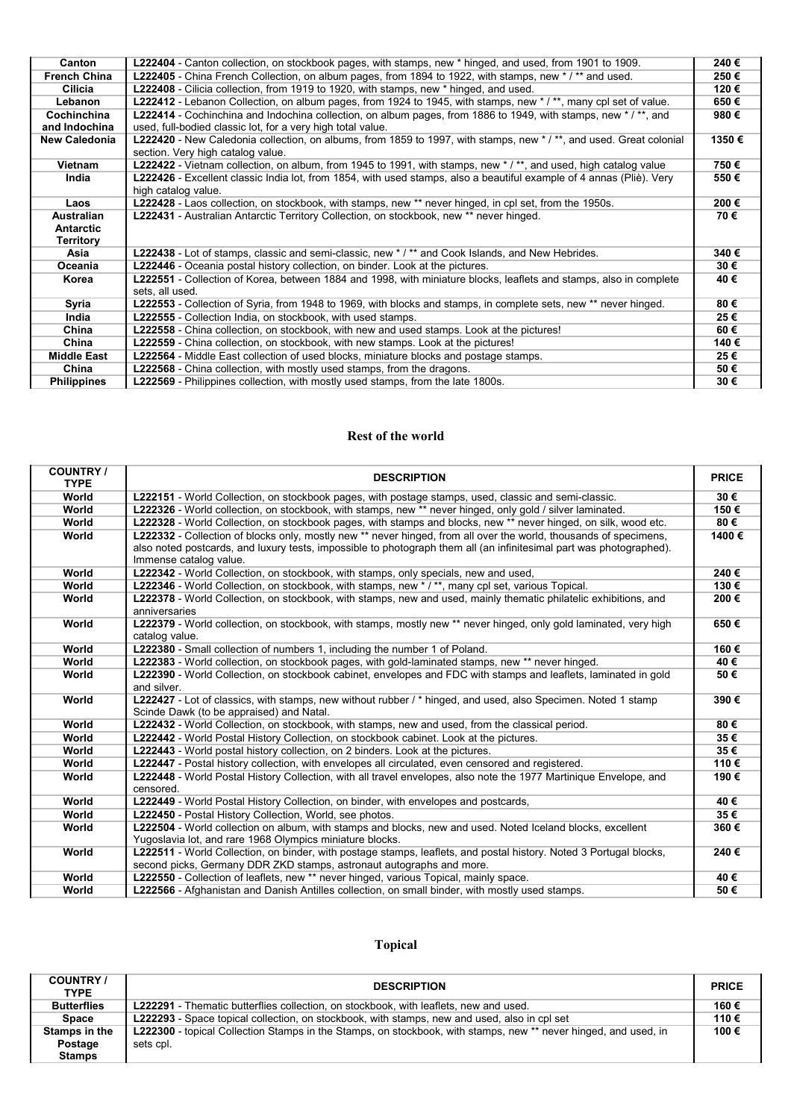| Canton               | L222404 - Canton collection, on stockbook pages, with stamps, new * hinged, and used, from 1901 to 1909.                                               | 240€  |
|----------------------|--------------------------------------------------------------------------------------------------------------------------------------------------------|-------|
| <b>French China</b>  | L222405 - China French Collection, on album pages, from 1894 to 1922, with stamps, new */** and used.                                                  | 250€  |
| Cilicia              | <b>L222408</b> - Cilicia collection, from 1919 to 1920, with stamps, new * hinged, and used.                                                           | 120€  |
| Lebanon              | L222412 - Lebanon Collection, on album pages, from 1924 to 1945, with stamps, new */**, many cpl set of value.                                         | 650€  |
| Cochinchina          | L222414 - Cochinchina and Indochina collection, on album pages, from 1886 to 1949, with stamps, new */**, and                                          | 980€  |
| and Indochina        | used, full-bodied classic lot, for a very high total value.                                                                                            |       |
| <b>New Caledonia</b> | L222420 - New Caledonia collection, on albums, from 1859 to 1997, with stamps, new */**, and used. Great colonial<br>section. Very high catalog value. | 1350€ |
| Vietnam              | L222422 - Vietnam collection, on album, from 1945 to 1991, with stamps, new * / **, and used, high catalog value                                       | 750€  |
| India                | L222426 - Excellent classic India lot, from 1854, with used stamps, also a beautiful example of 4 annas (Pliè). Very<br>high catalog value.            | 550€  |
| Laos                 | L222428 - Laos collection, on stockbook, with stamps, new ** never hinged, in cpl set, from the 1950s.                                                 | 200€  |
| Australian           | L222431 - Australian Antarctic Territory Collection, on stockbook, new ** never hinged.                                                                | 70€   |
| <b>Antarctic</b>     |                                                                                                                                                        |       |
| Territory            |                                                                                                                                                        |       |
| Asia                 | L222438 - Lot of stamps, classic and semi-classic, new */** and Cook Islands, and New Hebrides.                                                        | 340€  |
| Oceania              | <b>L222446</b> - Oceania postal history collection, on binder. Look at the pictures.                                                                   | 30€   |
| Korea                | L222551 - Collection of Korea, between 1884 and 1998, with miniature blocks, leaflets and stamps, also in complete<br>sets, all used.                  | 40€   |
| Syria                | L222553 - Collection of Syria, from 1948 to 1969, with blocks and stamps, in complete sets, new ** never hinged.                                       | 80€   |
| India                | <b>L222555</b> - Collection India, on stockbook, with used stamps.                                                                                     | 25€   |
| China                | L222558 - China collection, on stockbook, with new and used stamps. Look at the pictures!                                                              | 60€   |
| China                | <b>L222559</b> - China collection, on stockbook, with new stamps. Look at the pictures!                                                                | 140 € |
| <b>Middle East</b>   | <b>L222564</b> - Middle East collection of used blocks, miniature blocks and postage stamps.                                                           | 25€   |
| China                | <b>L222568</b> - China collection, with mostly used stamps, from the dragons.                                                                          | 50€   |
| <b>Philippines</b>   | <b>L222569</b> - Philippines collection, with mostly used stamps, from the late 1800s.                                                                 | 30€   |
|                      |                                                                                                                                                        |       |

#### **Rest of the world**

| <b>COUNTRY/</b><br><b>TYPE</b> | <b>DESCRIPTION</b>                                                                                                                                                                                                                                                 | <b>PRICE</b> |
|--------------------------------|--------------------------------------------------------------------------------------------------------------------------------------------------------------------------------------------------------------------------------------------------------------------|--------------|
| World                          | <b>L222151</b> - World Collection, on stockbook pages, with postage stamps, used, classic and semi-classic.                                                                                                                                                        | 30€          |
| World                          | L222326 - World collection, on stockbook, with stamps, new ** never hinged, only gold / silver laminated.                                                                                                                                                          | 150€         |
| World                          | L222328 - World Collection, on stockbook pages, with stamps and blocks, new ** never hinged, on silk, wood etc.                                                                                                                                                    | 80€          |
| World                          | L222332 - Collection of blocks only, mostly new ** never hinged, from all over the world, thousands of specimens,<br>also noted postcards, and luxury tests, impossible to photograph them all (an infinitesimal part was photographed).<br>Immense catalog value. | 1400€        |
| World                          | L222342 - World Collection, on stockbook, with stamps, only specials, new and used,                                                                                                                                                                                | 240€         |
| World                          | L222346 - World Collection, on stockbook, with stamps, new * / **, many cpl set, various Topical.                                                                                                                                                                  | 130€         |
| World                          | L222378 - World Collection, on stockbook, with stamps, new and used, mainly thematic philatelic exhibitions, and<br>anniversaries                                                                                                                                  | 200€         |
| World                          | L222379 - World collection, on stockbook, with stamps, mostly new ** never hinged, only gold laminated, very high<br>catalog value.                                                                                                                                | 650€         |
| World                          | L222380 - Small collection of numbers 1, including the number 1 of Poland.                                                                                                                                                                                         | 160€         |
| World                          | L222383 - World collection, on stockbook pages, with gold-laminated stamps, new ** never hinged.                                                                                                                                                                   | 40€          |
| World                          | L222390 - World Collection, on stockbook cabinet, envelopes and FDC with stamps and leaflets, laminated in gold<br>and silver.                                                                                                                                     | 50€          |
| World                          | L222427 - Lot of classics, with stamps, new without rubber / * hinged, and used, also Specimen. Noted 1 stamp<br>Scinde Dawk (to be appraised) and Natal.                                                                                                          | 390€         |
| World                          | L222432 - World Collection, on stockbook, with stamps, new and used, from the classical period.                                                                                                                                                                    | 80€          |
| World                          | <b>L222442</b> - World Postal History Collection, on stockbook cabinet. Look at the pictures.                                                                                                                                                                      | 35€          |
| World                          | <b>L222443</b> - World postal history collection, on 2 binders. Look at the pictures.                                                                                                                                                                              | 35€          |
| World                          | L222447 - Postal history collection, with envelopes all circulated, even censored and registered.                                                                                                                                                                  | 110€         |
| World                          | L222448 - World Postal History Collection, with all travel envelopes, also note the 1977 Martinique Envelope, and<br>censored.                                                                                                                                     | 190€         |
| World                          | L222449 - World Postal History Collection, on binder, with envelopes and postcards,                                                                                                                                                                                | 40€          |
| World                          | L222450 - Postal History Collection, World, see photos.                                                                                                                                                                                                            | 35€          |
| World                          | L222504 - World collection on album, with stamps and blocks, new and used. Noted Iceland blocks, excellent<br>Yugoslavia lot, and rare 1968 Olympics miniature blocks.                                                                                             | 360€         |
| World                          | L222511 - World Collection, on binder, with postage stamps, leaflets, and postal history. Noted 3 Portugal blocks,<br>second picks, Germany DDR ZKD stamps, astronaut autographs and more.                                                                         | 240€         |
| World                          | L222550 - Collection of leaflets, new ** never hinged, various Topical, mainly space.                                                                                                                                                                              | 40€          |
| World                          | L222566 - Afghanistan and Danish Antilles collection, on small binder, with mostly used stamps.                                                                                                                                                                    | 50€          |

# **Topical**

| <b>COUNTRY</b> /<br><b>TYPE</b> | <b>DESCRIPTION</b>                                                                                              | <b>PRICE</b> |
|---------------------------------|-----------------------------------------------------------------------------------------------------------------|--------------|
| <b>Butterflies</b>              | <b>L222291</b> - Thematic butterflies collection, on stockbook, with leaflets, new and used.                    | 160€         |
| Space                           | <b>L222293</b> - Space topical collection, on stockbook, with stamps, new and used, also in cpl set             | 110€         |
| Stamps in the                   | L222300 - topical Collection Stamps in the Stamps, on stockbook, with stamps, new ** never hinged, and used, in | 100€         |
| Postage                         | sets cpl.                                                                                                       |              |
| <b>Stamps</b>                   |                                                                                                                 |              |